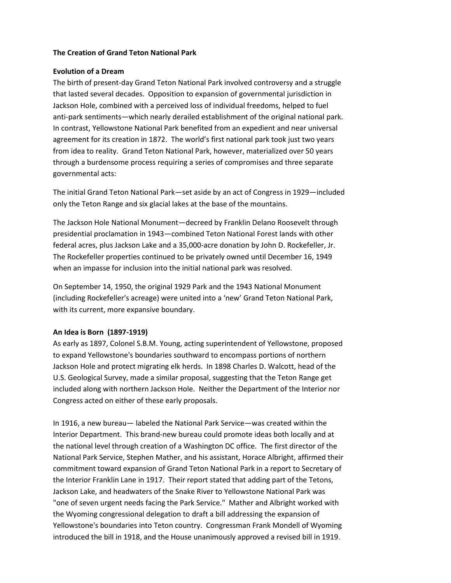### **The Creation of Grand Teton National Park**

### **Evolution of a Dream**

The birth of present-day Grand Teton National Park involved controversy and a struggle that lasted several decades. Opposition to expansion of governmental jurisdiction in Jackson Hole, combined with a perceived loss of individual freedoms, helped to fuel anti-park sentiments—which nearly derailed establishment of the original national park. In contrast, Yellowstone National Park benefited from an expedient and near universal agreement for its creation in 1872. The world's first national park took just two years from idea to reality. Grand Teton National Park, however, materialized over 50 years through a burdensome process requiring a series of compromises and three separate governmental acts:

The initial Grand Teton National Park—set aside by an act of Congress in 1929—included only the Teton Range and six glacial lakes at the base of the mountains.

The Jackson Hole National Monument—decreed by Franklin Delano Roosevelt through presidential proclamation in 1943—combined Teton National Forest lands with other federal acres, plus Jackson Lake and a 35,000-acre donation by John D. Rockefeller, Jr. The Rockefeller properties continued to be privately owned until December 16, 1949 when an impasse for inclusion into the initial national park was resolved.

On September 14, 1950, the original 1929 Park and the 1943 National Monument (including Rockefeller's acreage) were united into a 'new' Grand Teton National Park, with its current, more expansive boundary.

# **An Idea is Born (1897-1919)**

As early as 1897, Colonel S.B.M. Young, acting superintendent of Yellowstone, proposed to expand Yellowstone's boundaries southward to encompass portions of northern Jackson Hole and protect migrating elk herds. In 1898 Charles D. Walcott, head of the U.S. Geological Survey, made a similar proposal, suggesting that the Teton Range get included along with northern Jackson Hole. Neither the Department of the Interior nor Congress acted on either of these early proposals.

In 1916, a new bureau— labeled the National Park Service—was created within the Interior Department. This brand-new bureau could promote ideas both locally and at the national level through creation of a Washington DC office. The first director of the National Park Service, Stephen Mather, and his assistant, Horace Albright, affirmed their commitment toward expansion of Grand Teton National Park in a report to Secretary of the Interior Franklin Lane in 1917. Their report stated that adding part of the Tetons, Jackson Lake, and headwaters of the Snake River to Yellowstone National Park was "one of seven urgent needs facing the Park Service." Mather and Albright worked with the Wyoming congressional delegation to draft a bill addressing the expansion of Yellowstone's boundaries into Teton country. Congressman Frank Mondell of Wyoming introduced the bill in 1918, and the House unanimously approved a revised bill in 1919.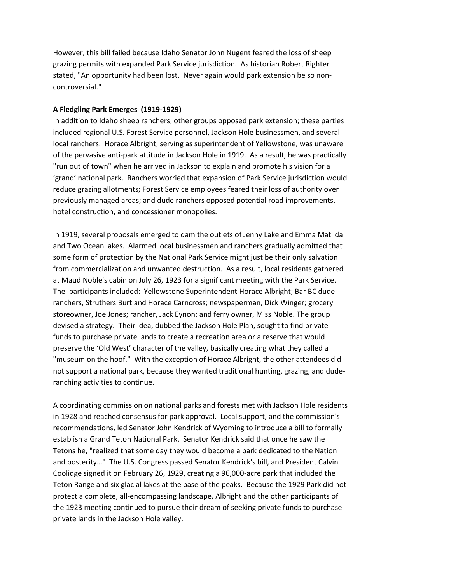However, this bill failed because Idaho Senator John Nugent feared the loss of sheep grazing permits with expanded Park Service jurisdiction. As historian Robert Righter stated, "An opportunity had been lost. Never again would park extension be so noncontroversial."

# **A Fledgling Park Emerges (1919-1929)**

In addition to Idaho sheep ranchers, other groups opposed park extension; these parties included regional U.S. Forest Service personnel, Jackson Hole businessmen, and several local ranchers. Horace Albright, serving as superintendent of Yellowstone, was unaware of the pervasive anti-park attitude in Jackson Hole in 1919. As a result, he was practically "run out of town" when he arrived in Jackson to explain and promote his vision for a 'grand' national park. Ranchers worried that expansion of Park Service jurisdiction would reduce grazing allotments; Forest Service employees feared their loss of authority over previously managed areas; and dude ranchers opposed potential road improvements, hotel construction, and concessioner monopolies.

In 1919, several proposals emerged to dam the outlets of Jenny Lake and Emma Matilda and Two Ocean lakes. Alarmed local businessmen and ranchers gradually admitted that some form of protection by the National Park Service might just be their only salvation from commercialization and unwanted destruction. As a result, local residents gathered at Maud Noble's cabin on July 26, 1923 for a significant meeting with the Park Service. The participants included: Yellowstone Superintendent Horace Albright; Bar BC dude ranchers, Struthers Burt and Horace Carncross; newspaperman, Dick Winger; grocery storeowner, Joe Jones; rancher, Jack Eynon; and ferry owner, Miss Noble. The group devised a strategy. Their idea, dubbed the Jackson Hole Plan, sought to find private funds to purchase private lands to create a recreation area or a reserve that would preserve the 'Old West' character of the valley, basically creating what they called a "museum on the hoof." With the exception of Horace Albright, the other attendees did not support a national park, because they wanted traditional hunting, grazing, and duderanching activities to continue.

A coordinating commission on national parks and forests met with Jackson Hole residents in 1928 and reached consensus for park approval. Local support, and the commission's recommendations, led Senator John Kendrick of Wyoming to introduce a bill to formally establish a Grand Teton National Park. Senator Kendrick said that once he saw the Tetons he, "realized that some day they would become a park dedicated to the Nation and posterity…" The U.S. Congress passed Senator Kendrick's bill, and President Calvin Coolidge signed it on February 26, 1929, creating a 96,000-acre park that included the Teton Range and six glacial lakes at the base of the peaks. Because the 1929 Park did not protect a complete, all-encompassing landscape, Albright and the other participants of the 1923 meeting continued to pursue their dream of seeking private funds to purchase private lands in the Jackson Hole valley.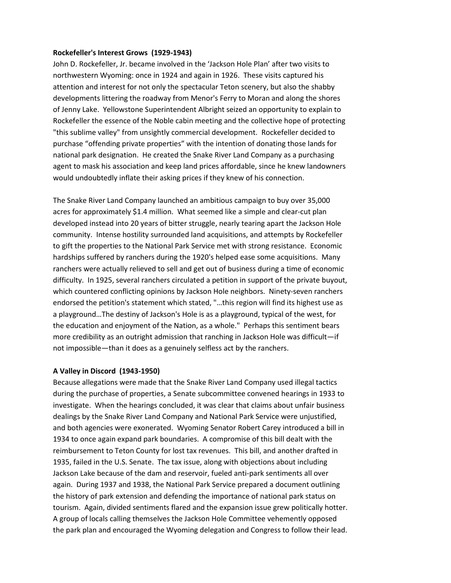### **Rockefeller's Interest Grows (1929-1943)**

John D. Rockefeller, Jr. became involved in the 'Jackson Hole Plan' after two visits to northwestern Wyoming: once in 1924 and again in 1926. These visits captured his attention and interest for not only the spectacular Teton scenery, but also the shabby developments littering the roadway from Menor's Ferry to Moran and along the shores of Jenny Lake. Yellowstone Superintendent Albright seized an opportunity to explain to Rockefeller the essence of the Noble cabin meeting and the collective hope of protecting "this sublime valley" from unsightly commercial development. Rockefeller decided to purchase "offending private properties" with the intention of donating those lands for national park designation. He created the Snake River Land Company as a purchasing agent to mask his association and keep land prices affordable, since he knew landowners would undoubtedly inflate their asking prices if they knew of his connection.

The Snake River Land Company launched an ambitious campaign to buy over 35,000 acres for approximately \$1.4 million. What seemed like a simple and clear-cut plan developed instead into 20 years of bitter struggle, nearly tearing apart the Jackson Hole community. Intense hostility surrounded land acquisitions, and attempts by Rockefeller to gift the properties to the National Park Service met with strong resistance. Economic hardships suffered by ranchers during the 1920's helped ease some acquisitions. Many ranchers were actually relieved to sell and get out of business during a time of economic difficulty. In 1925, several ranchers circulated a petition in support of the private buyout, which countered conflicting opinions by Jackson Hole neighbors. Ninety-seven ranchers endorsed the petition's statement which stated, "…this region will find its highest use as a playground…The destiny of Jackson's Hole is as a playground, typical of the west, for the education and enjoyment of the Nation, as a whole." Perhaps this sentiment bears more credibility as an outright admission that ranching in Jackson Hole was difficult—if not impossible—than it does as a genuinely selfless act by the ranchers.

#### **A Valley in Discord (1943-1950)**

Because allegations were made that the Snake River Land Company used illegal tactics during the purchase of properties, a Senate subcommittee convened hearings in 1933 to investigate. When the hearings concluded, it was clear that claims about unfair business dealings by the Snake River Land Company and National Park Service were unjustified, and both agencies were exonerated. Wyoming Senator Robert Carey introduced a bill in 1934 to once again expand park boundaries. A compromise of this bill dealt with the reimbursement to Teton County for lost tax revenues. This bill, and another drafted in 1935, failed in the U.S. Senate. The tax issue, along with objections about including Jackson Lake because of the dam and reservoir, fueled anti-park sentiments all over again. During 1937 and 1938, the National Park Service prepared a document outlining the history of park extension and defending the importance of national park status on tourism. Again, divided sentiments flared and the expansion issue grew politically hotter. A group of locals calling themselves the Jackson Hole Committee vehemently opposed the park plan and encouraged the Wyoming delegation and Congress to follow their lead.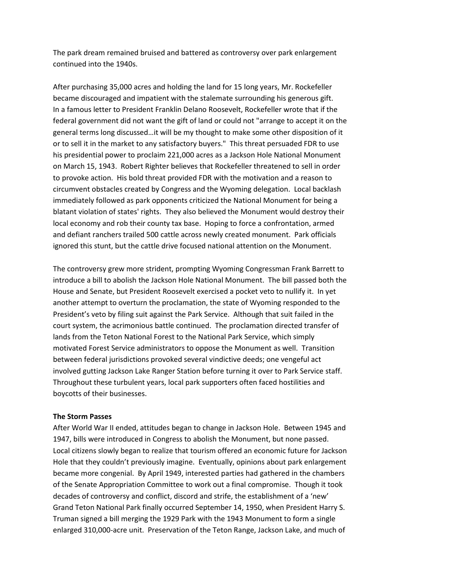The park dream remained bruised and battered as controversy over park enlargement continued into the 1940s.

After purchasing 35,000 acres and holding the land for 15 long years, Mr. Rockefeller became discouraged and impatient with the stalemate surrounding his generous gift. In a famous letter to President Franklin Delano Roosevelt, Rockefeller wrote that if the federal government did not want the gift of land or could not "arrange to accept it on the general terms long discussed…it will be my thought to make some other disposition of it or to sell it in the market to any satisfactory buyers." This threat persuaded FDR to use his presidential power to proclaim 221,000 acres as a Jackson Hole National Monument on March 15, 1943. Robert Righter believes that Rockefeller threatened to sell in order to provoke action. His bold threat provided FDR with the motivation and a reason to circumvent obstacles created by Congress and the Wyoming delegation. Local backlash immediately followed as park opponents criticized the National Monument for being a blatant violation of states' rights. They also believed the Monument would destroy their local economy and rob their county tax base. Hoping to force a confrontation, armed and defiant ranchers trailed 500 cattle across newly created monument. Park officials ignored this stunt, but the cattle drive focused national attention on the Monument.

The controversy grew more strident, prompting Wyoming Congressman Frank Barrett to introduce a bill to abolish the Jackson Hole National Monument. The bill passed both the House and Senate, but President Roosevelt exercised a pocket veto to nullify it. In yet another attempt to overturn the proclamation, the state of Wyoming responded to the President's veto by filing suit against the Park Service. Although that suit failed in the court system, the acrimonious battle continued. The proclamation directed transfer of lands from the Teton National Forest to the National Park Service, which simply motivated Forest Service administrators to oppose the Monument as well. Transition between federal jurisdictions provoked several vindictive deeds; one vengeful act involved gutting Jackson Lake Ranger Station before turning it over to Park Service staff. Throughout these turbulent years, local park supporters often faced hostilities and boycotts of their businesses.

### **The Storm Passes**

After World War II ended, attitudes began to change in Jackson Hole. Between 1945 and 1947, bills were introduced in Congress to abolish the Monument, but none passed. Local citizens slowly began to realize that tourism offered an economic future for Jackson Hole that they couldn't previously imagine. Eventually, opinions about park enlargement became more congenial. By April 1949, interested parties had gathered in the chambers of the Senate Appropriation Committee to work out a final compromise. Though it took decades of controversy and conflict, discord and strife, the establishment of a 'new' Grand Teton National Park finally occurred September 14, 1950, when President Harry S. Truman signed a bill merging the 1929 Park with the 1943 Monument to form a single enlarged 310,000-acre unit. Preservation of the Teton Range, Jackson Lake, and much of